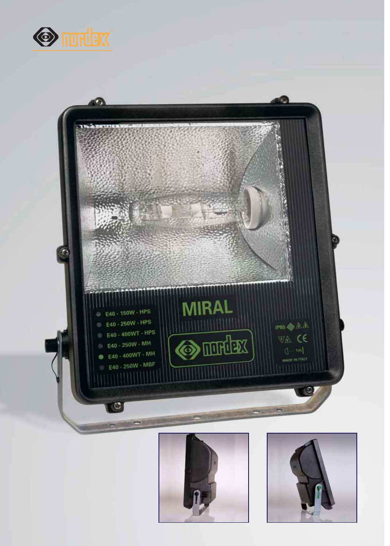